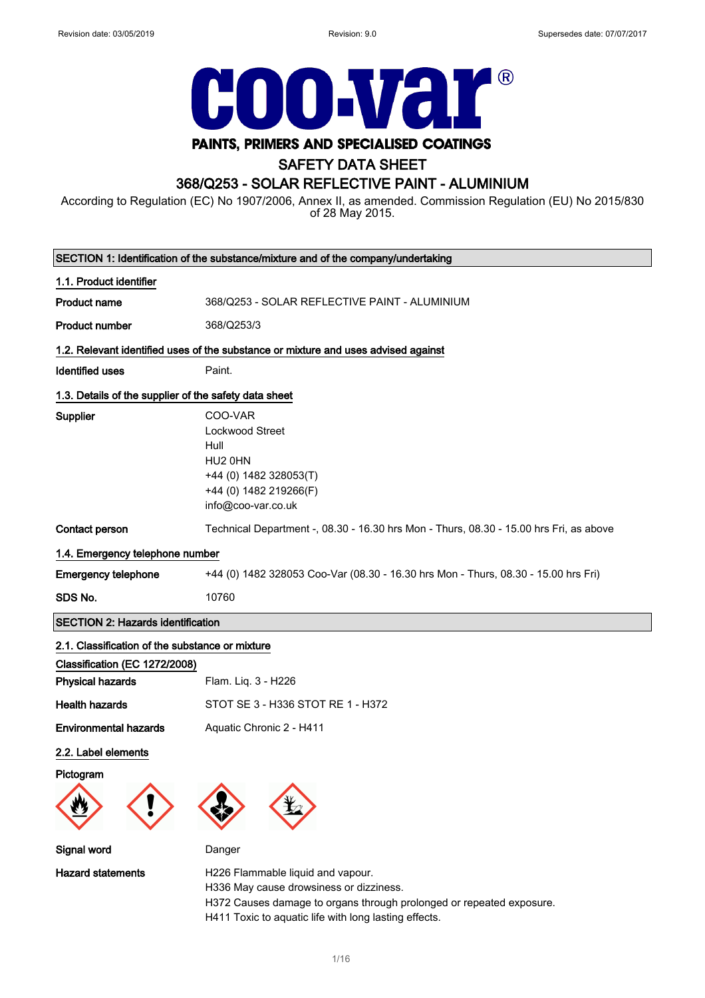

## PAINTS, PRIMERS AND SPECIALISED COATINGS

## SAFETY DATA SHEET

## 368/Q253 - SOLAR REFLECTIVE PAINT - ALUMINIUM

According to Regulation (EC) No 1907/2006, Annex II, as amended. Commission Regulation (EU) No 2015/830 of 28 May 2015.

|                                                                                  | SECTION 1: Identification of the substance/mixture and of the company/undertaking                                                                    |
|----------------------------------------------------------------------------------|------------------------------------------------------------------------------------------------------------------------------------------------------|
| 1.1. Product identifier                                                          |                                                                                                                                                      |
| <b>Product name</b>                                                              | 368/Q253 - SOLAR REFLECTIVE PAINT - ALUMINIUM                                                                                                        |
| <b>Product number</b>                                                            | 368/Q253/3                                                                                                                                           |
|                                                                                  | 1.2. Relevant identified uses of the substance or mixture and uses advised against                                                                   |
| <b>Identified uses</b>                                                           | Paint.                                                                                                                                               |
| 1.3. Details of the supplier of the safety data sheet                            |                                                                                                                                                      |
| Supplier                                                                         | COO-VAR<br>Lockwood Street<br>Hull<br>HU2 0HN<br>+44 (0) 1482 328053(T)<br>+44 (0) 1482 219266(F)<br>info@coo-var.co.uk                              |
| Contact person                                                                   | Technical Department -, 08.30 - 16.30 hrs Mon - Thurs, 08.30 - 15.00 hrs Fri, as above                                                               |
| 1.4. Emergency telephone number                                                  |                                                                                                                                                      |
| <b>Emergency telephone</b>                                                       | +44 (0) 1482 328053 Coo-Var (08.30 - 16.30 hrs Mon - Thurs, 08.30 - 15.00 hrs Fri)                                                                   |
| SDS No.                                                                          | 10760                                                                                                                                                |
| <b>SECTION 2: Hazards identification</b>                                         |                                                                                                                                                      |
| 2.1. Classification of the substance or mixture<br>Classification (EC 1272/2008) |                                                                                                                                                      |
| <b>Physical hazards</b>                                                          | Flam. Liq. 3 - H226                                                                                                                                  |
| <b>Health hazards</b>                                                            | STOT SE 3 - H336 STOT RE 1 - H372                                                                                                                    |
| <b>Environmental hazards</b>                                                     | Aquatic Chronic 2 - H411                                                                                                                             |
| 2.2. Label elements<br>Pictogram                                                 |                                                                                                                                                      |
| Signal word                                                                      | Danger                                                                                                                                               |
| <b>Hazard statements</b>                                                         | H226 Flammable liquid and vapour.<br>H336 May cause drowsiness or dizziness.<br>H372 Causes damage to organs through prolonged or repeated exposure. |

H411 Toxic to aquatic life with long lasting effects.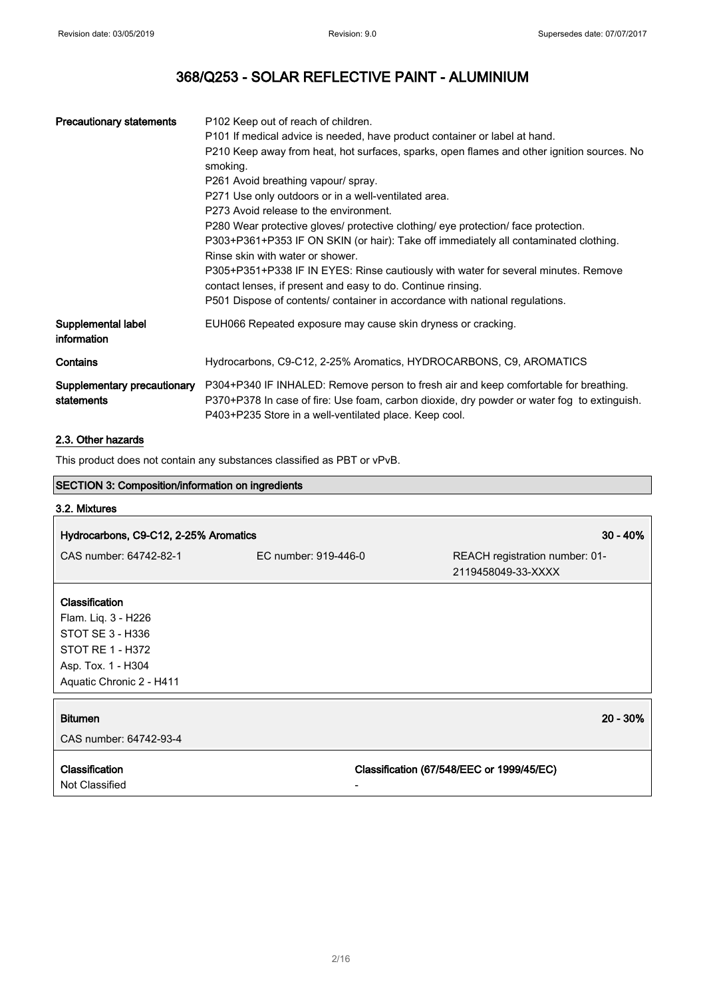| <b>Precautionary statements</b>           | P <sub>102</sub> Keep out of reach of children.<br>P101 If medical advice is needed, have product container or label at hand.<br>P210 Keep away from heat, hot surfaces, sparks, open flames and other ignition sources. No<br>smoking.<br>P261 Avoid breathing vapour/ spray.<br>P271 Use only outdoors or in a well-ventilated area.<br>P273 Avoid release to the environment.<br>P280 Wear protective gloves/ protective clothing/ eye protection/ face protection.<br>P303+P361+P353 IF ON SKIN (or hair): Take off immediately all contaminated clothing.<br>Rinse skin with water or shower.<br>P305+P351+P338 IF IN EYES: Rinse cautiously with water for several minutes. Remove<br>contact lenses, if present and easy to do. Continue rinsing.<br>P501 Dispose of contents/ container in accordance with national regulations. |
|-------------------------------------------|------------------------------------------------------------------------------------------------------------------------------------------------------------------------------------------------------------------------------------------------------------------------------------------------------------------------------------------------------------------------------------------------------------------------------------------------------------------------------------------------------------------------------------------------------------------------------------------------------------------------------------------------------------------------------------------------------------------------------------------------------------------------------------------------------------------------------------------|
| Supplemental label<br>information         | EUH066 Repeated exposure may cause skin dryness or cracking.                                                                                                                                                                                                                                                                                                                                                                                                                                                                                                                                                                                                                                                                                                                                                                             |
| Contains                                  | Hydrocarbons, C9-C12, 2-25% Aromatics, HYDROCARBONS, C9, AROMATICS                                                                                                                                                                                                                                                                                                                                                                                                                                                                                                                                                                                                                                                                                                                                                                       |
| Supplementary precautionary<br>statements | P304+P340 IF INHALED: Remove person to fresh air and keep comfortable for breathing.<br>P370+P378 In case of fire: Use foam, carbon dioxide, dry powder or water fog to extinguish.<br>P403+P235 Store in a well-ventilated place. Keep cool.                                                                                                                                                                                                                                                                                                                                                                                                                                                                                                                                                                                            |

## 2.3. Other hazards

This product does not contain any substances classified as PBT or vPvB.

| This product does not contain any substances classified as PBT or VPVB. |                      |                                                      |
|-------------------------------------------------------------------------|----------------------|------------------------------------------------------|
| <b>SECTION 3: Composition/information on ingredients</b>                |                      |                                                      |
| 3.2. Mixtures                                                           |                      |                                                      |
| Hydrocarbons, C9-C12, 2-25% Aromatics                                   |                      | $30 - 40%$                                           |
| CAS number: 64742-82-1                                                  | EC number: 919-446-0 | REACH registration number: 01-<br>2119458049-33-XXXX |
| <b>Classification</b>                                                   |                      |                                                      |
| Flam. Liq. 3 - H226                                                     |                      |                                                      |
| STOT SE 3 - H336                                                        |                      |                                                      |
| STOT RE 1 - H372                                                        |                      |                                                      |
| Asp. Tox. 1 - H304                                                      |                      |                                                      |
| Aquatic Chronic 2 - H411                                                |                      |                                                      |
| <b>Bitumen</b>                                                          |                      | 20 - 30%                                             |
| CAS number: 64742-93-4                                                  |                      |                                                      |
| <b>Classification</b><br>Not Classified                                 |                      | Classification (67/548/EEC or 1999/45/EC)            |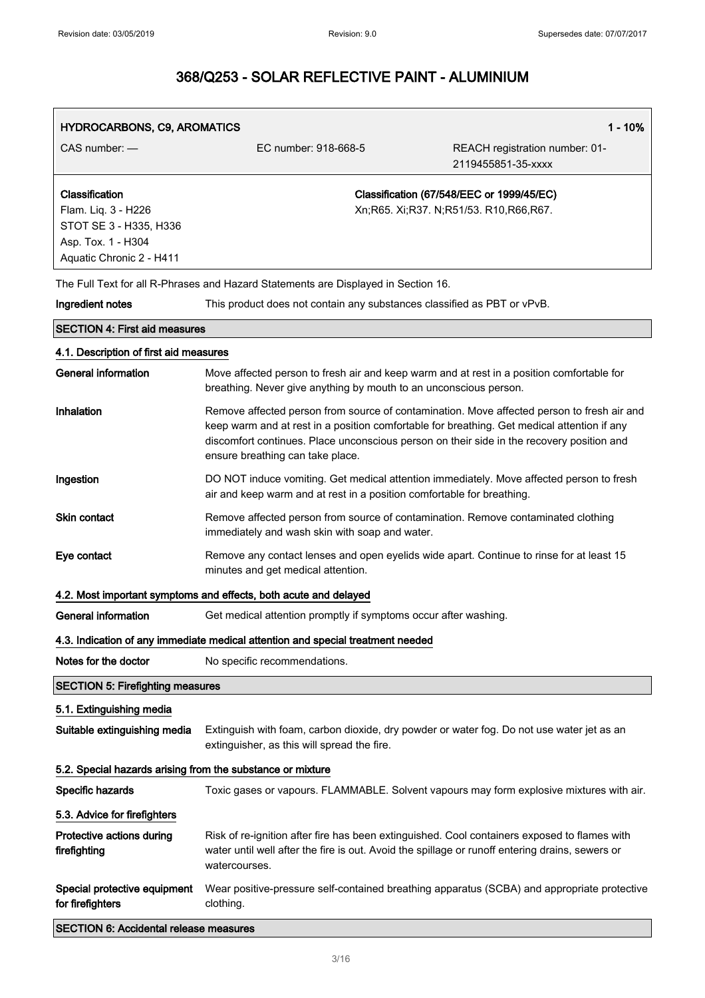| HYDROCARBONS, C9, AROMATICS                                                                                       |                                                                                                                                                                                                                              | $1 - 10%$                                                                                   |
|-------------------------------------------------------------------------------------------------------------------|------------------------------------------------------------------------------------------------------------------------------------------------------------------------------------------------------------------------------|---------------------------------------------------------------------------------------------|
| CAS number: -                                                                                                     | EC number: 918-668-5                                                                                                                                                                                                         | REACH registration number: 01-<br>2119455851-35-xxxx                                        |
| Classification<br>Flam. Liq. 3 - H226<br>STOT SE 3 - H335, H336<br>Asp. Tox. 1 - H304<br>Aquatic Chronic 2 - H411 |                                                                                                                                                                                                                              | Classification (67/548/EEC or 1999/45/EC)<br>Xn;R65. Xi;R37. N;R51/53. R10,R66,R67.         |
|                                                                                                                   | The Full Text for all R-Phrases and Hazard Statements are Displayed in Section 16.                                                                                                                                           |                                                                                             |
| Ingredient notes                                                                                                  | This product does not contain any substances classified as PBT or vPvB.                                                                                                                                                      |                                                                                             |
| <b>SECTION 4: First aid measures</b>                                                                              |                                                                                                                                                                                                                              |                                                                                             |
| 4.1. Description of first aid measures                                                                            |                                                                                                                                                                                                                              |                                                                                             |
| <b>General information</b>                                                                                        | Move affected person to fresh air and keep warm and at rest in a position comfortable for<br>breathing. Never give anything by mouth to an unconscious person.                                                               |                                                                                             |
| Inhalation                                                                                                        | keep warm and at rest in a position comfortable for breathing. Get medical attention if any<br>discomfort continues. Place unconscious person on their side in the recovery position and<br>ensure breathing can take place. | Remove affected person from source of contamination. Move affected person to fresh air and  |
| Ingestion                                                                                                         | DO NOT induce vomiting. Get medical attention immediately. Move affected person to fresh<br>air and keep warm and at rest in a position comfortable for breathing.                                                           |                                                                                             |
| <b>Skin contact</b>                                                                                               | Remove affected person from source of contamination. Remove contaminated clothing<br>immediately and wash skin with soap and water.                                                                                          |                                                                                             |
| Eye contact                                                                                                       | Remove any contact lenses and open eyelids wide apart. Continue to rinse for at least 15<br>minutes and get medical attention.                                                                                               |                                                                                             |
|                                                                                                                   | 4.2. Most important symptoms and effects, both acute and delayed                                                                                                                                                             |                                                                                             |
| <b>General information</b>                                                                                        | Get medical attention promptly if symptoms occur after washing.                                                                                                                                                              |                                                                                             |
|                                                                                                                   | 4.3. Indication of any immediate medical attention and special treatment needed                                                                                                                                              |                                                                                             |
| Notes for the doctor                                                                                              | No specific recommendations.                                                                                                                                                                                                 |                                                                                             |
| <b>SECTION 5: Firefighting measures</b>                                                                           |                                                                                                                                                                                                                              |                                                                                             |
| 5.1. Extinguishing media                                                                                          |                                                                                                                                                                                                                              |                                                                                             |
| Suitable extinguishing media                                                                                      | Extinguish with foam, carbon dioxide, dry powder or water fog. Do not use water jet as an<br>extinguisher, as this will spread the fire.                                                                                     |                                                                                             |
| 5.2. Special hazards arising from the substance or mixture                                                        |                                                                                                                                                                                                                              |                                                                                             |
| Specific hazards                                                                                                  |                                                                                                                                                                                                                              | Toxic gases or vapours. FLAMMABLE. Solvent vapours may form explosive mixtures with air.    |
| 5.3. Advice for firefighters                                                                                      |                                                                                                                                                                                                                              |                                                                                             |
| Protective actions during<br>firefighting                                                                         | Risk of re-ignition after fire has been extinguished. Cool containers exposed to flames with<br>water until well after the fire is out. Avoid the spillage or runoff entering drains, sewers or<br>watercourses.             |                                                                                             |
| Special protective equipment<br>for firefighters                                                                  | clothing.                                                                                                                                                                                                                    | Wear positive-pressure self-contained breathing apparatus (SCBA) and appropriate protective |
| <b>SECTION 6: Accidental release measures</b>                                                                     |                                                                                                                                                                                                                              |                                                                                             |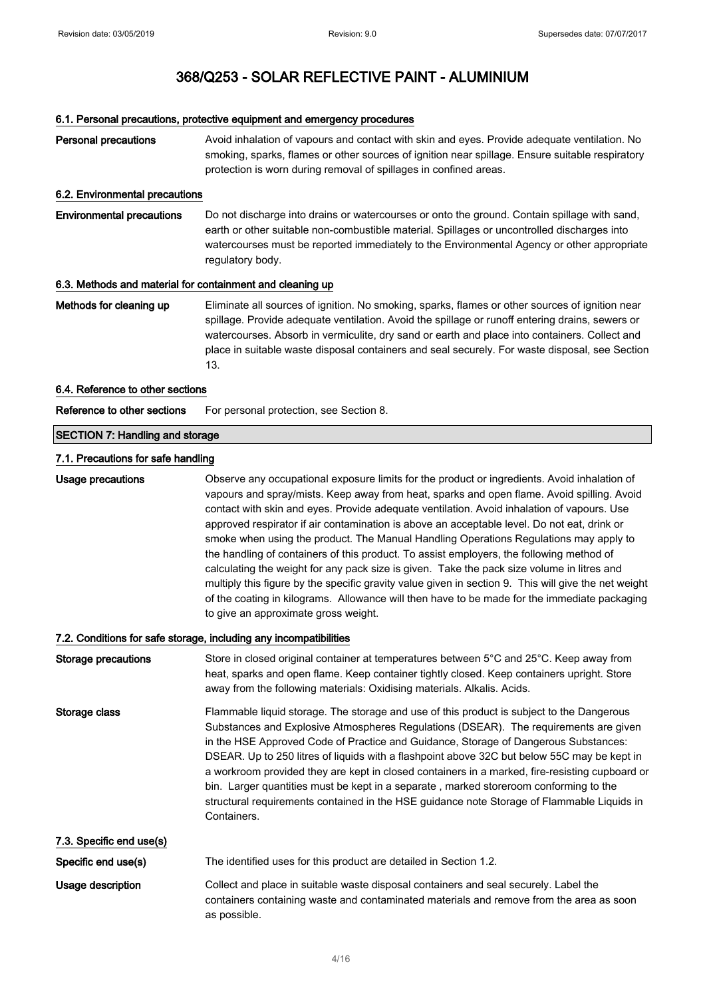## 6.1. Personal precautions, protective equipment and emergency procedures

| <b>Personal precautions</b>                               | Avoid inhalation of vapours and contact with skin and eyes. Provide adequate ventilation. No<br>smoking, sparks, flames or other sources of ignition near spillage. Ensure suitable respiratory<br>protection is worn during removal of spillages in confined areas.                                                                                                                                                                                                                                                                                                                                                                                                                                                                                                                                                                                                                                                       |
|-----------------------------------------------------------|----------------------------------------------------------------------------------------------------------------------------------------------------------------------------------------------------------------------------------------------------------------------------------------------------------------------------------------------------------------------------------------------------------------------------------------------------------------------------------------------------------------------------------------------------------------------------------------------------------------------------------------------------------------------------------------------------------------------------------------------------------------------------------------------------------------------------------------------------------------------------------------------------------------------------|
| 6.2. Environmental precautions                            |                                                                                                                                                                                                                                                                                                                                                                                                                                                                                                                                                                                                                                                                                                                                                                                                                                                                                                                            |
| <b>Environmental precautions</b>                          | Do not discharge into drains or watercourses or onto the ground. Contain spillage with sand,<br>earth or other suitable non-combustible material. Spillages or uncontrolled discharges into<br>watercourses must be reported immediately to the Environmental Agency or other appropriate<br>regulatory body.                                                                                                                                                                                                                                                                                                                                                                                                                                                                                                                                                                                                              |
| 6.3. Methods and material for containment and cleaning up |                                                                                                                                                                                                                                                                                                                                                                                                                                                                                                                                                                                                                                                                                                                                                                                                                                                                                                                            |
| Methods for cleaning up                                   | Eliminate all sources of ignition. No smoking, sparks, flames or other sources of ignition near<br>spillage. Provide adequate ventilation. Avoid the spillage or runoff entering drains, sewers or<br>watercourses. Absorb in vermiculite, dry sand or earth and place into containers. Collect and<br>place in suitable waste disposal containers and seal securely. For waste disposal, see Section<br>13.                                                                                                                                                                                                                                                                                                                                                                                                                                                                                                               |
| 6.4. Reference to other sections                          |                                                                                                                                                                                                                                                                                                                                                                                                                                                                                                                                                                                                                                                                                                                                                                                                                                                                                                                            |
| Reference to other sections                               | For personal protection, see Section 8.                                                                                                                                                                                                                                                                                                                                                                                                                                                                                                                                                                                                                                                                                                                                                                                                                                                                                    |
| <b>SECTION 7: Handling and storage</b>                    |                                                                                                                                                                                                                                                                                                                                                                                                                                                                                                                                                                                                                                                                                                                                                                                                                                                                                                                            |
| 7.1. Precautions for safe handling                        |                                                                                                                                                                                                                                                                                                                                                                                                                                                                                                                                                                                                                                                                                                                                                                                                                                                                                                                            |
| <b>Usage precautions</b>                                  | Observe any occupational exposure limits for the product or ingredients. Avoid inhalation of<br>vapours and spray/mists. Keep away from heat, sparks and open flame. Avoid spilling. Avoid<br>contact with skin and eyes. Provide adequate ventilation. Avoid inhalation of vapours. Use<br>approved respirator if air contamination is above an acceptable level. Do not eat, drink or<br>smoke when using the product. The Manual Handling Operations Regulations may apply to<br>the handling of containers of this product. To assist employers, the following method of<br>calculating the weight for any pack size is given. Take the pack size volume in litres and<br>multiply this figure by the specific gravity value given in section 9. This will give the net weight<br>of the coating in kilograms. Allowance will then have to be made for the immediate packaging<br>to give an approximate gross weight. |
|                                                           | 7.2. Conditions for safe storage, including any incompatibilities                                                                                                                                                                                                                                                                                                                                                                                                                                                                                                                                                                                                                                                                                                                                                                                                                                                          |
| Storage precautions                                       | Store in closed original container at temperatures between 5°C and 25°C. Keep away from<br>heat, sparks and open flame. Keep container tightly closed. Keep containers upright. Store<br>away from the following materials: Oxidising materials. Alkalis. Acids.                                                                                                                                                                                                                                                                                                                                                                                                                                                                                                                                                                                                                                                           |
| Storage class                                             | Flammable liquid storage. The storage and use of this product is subject to the Dangerous<br>Substances and Explosive Atmospheres Regulations (DSEAR). The requirements are given<br>in the HSE Approved Code of Practice and Guidance, Storage of Dangerous Substances:<br>DSEAR. Up to 250 litres of liquids with a flashpoint above 32C but below 55C may be kept in<br>a workroom provided they are kept in closed containers in a marked, fire-resisting cupboard or<br>bin. Larger quantities must be kept in a separate, marked storeroom conforming to the<br>structural requirements contained in the HSE guidance note Storage of Flammable Liquids in<br>Containers.                                                                                                                                                                                                                                            |
| 7.3. Specific end use(s)                                  |                                                                                                                                                                                                                                                                                                                                                                                                                                                                                                                                                                                                                                                                                                                                                                                                                                                                                                                            |
| Specific end use(s)                                       | The identified uses for this product are detailed in Section 1.2.                                                                                                                                                                                                                                                                                                                                                                                                                                                                                                                                                                                                                                                                                                                                                                                                                                                          |
| Usage description                                         | Collect and place in suitable waste disposal containers and seal securely. Label the<br>containers containing waste and contaminated materials and remove from the area as soon<br>as possible.                                                                                                                                                                                                                                                                                                                                                                                                                                                                                                                                                                                                                                                                                                                            |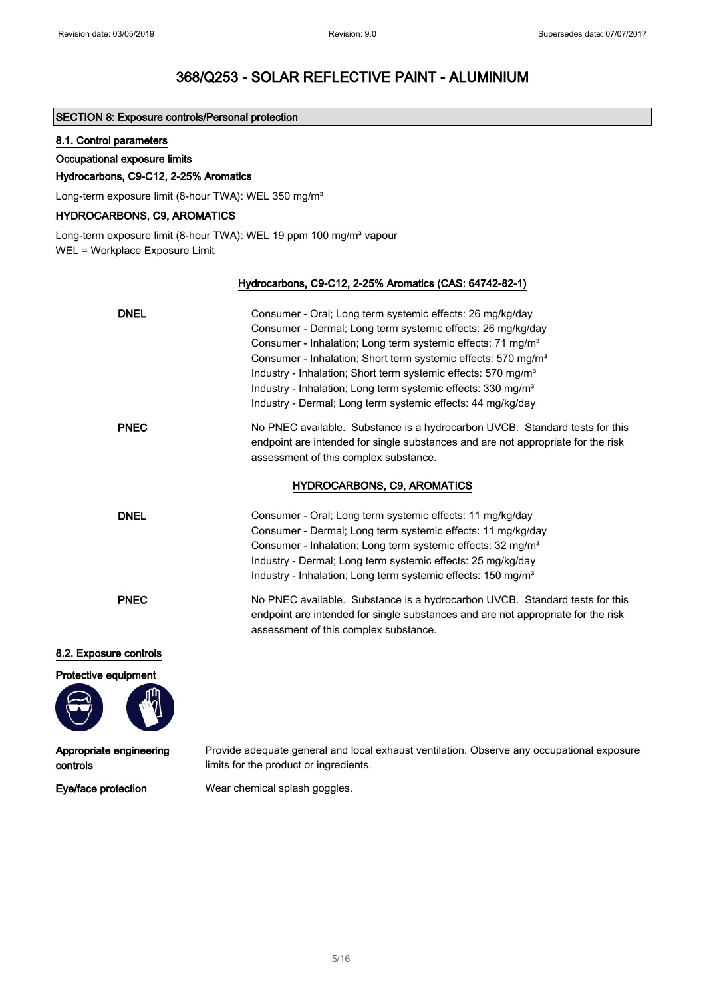### SECTION 8: Exposure controls/Personal protection

### 8.1. Control parameters

#### Occupational exposure limits

### Hydrocarbons, C9-C12, 2-25% Aromatics

Long-term exposure limit (8-hour TWA): WEL 350 mg/m<sup>3</sup>

### HYDROCARBONS, C9, AROMATICS

Long-term exposure limit (8-hour TWA): WEL 19 ppm 100 mg/m<sup>3</sup> vapour WEL = Workplace Exposure Limit

### Hydrocarbons, C9-C12, 2-25% Aromatics (CAS: 64742-82-1)

| <b>DNEL</b>            | Consumer - Oral; Long term systemic effects: 26 mg/kg/day<br>Consumer - Dermal; Long term systemic effects: 26 mg/kg/day<br>Consumer - Inhalation; Long term systemic effects: 71 mg/m <sup>3</sup><br>Consumer - Inhalation; Short term systemic effects: 570 mg/m <sup>3</sup><br>Industry - Inhalation; Short term systemic effects: 570 mg/m <sup>3</sup><br>Industry - Inhalation; Long term systemic effects: 330 mg/m <sup>3</sup><br>Industry - Dermal; Long term systemic effects: 44 mg/kg/day |
|------------------------|----------------------------------------------------------------------------------------------------------------------------------------------------------------------------------------------------------------------------------------------------------------------------------------------------------------------------------------------------------------------------------------------------------------------------------------------------------------------------------------------------------|
| <b>PNEC</b>            | No PNEC available. Substance is a hydrocarbon UVCB. Standard tests for this<br>endpoint are intended for single substances and are not appropriate for the risk<br>assessment of this complex substance.                                                                                                                                                                                                                                                                                                 |
|                        | <b>HYDROCARBONS, C9, AROMATICS</b>                                                                                                                                                                                                                                                                                                                                                                                                                                                                       |
| <b>DNEL</b>            | Consumer - Oral; Long term systemic effects: 11 mg/kg/day<br>Consumer - Dermal; Long term systemic effects: 11 mg/kg/day<br>Consumer - Inhalation; Long term systemic effects: 32 mg/m <sup>3</sup><br>Industry - Dermal; Long term systemic effects: 25 mg/kg/day<br>Industry - Inhalation; Long term systemic effects: 150 mg/m <sup>3</sup>                                                                                                                                                           |
| <b>PNEC</b>            | No PNEC available. Substance is a hydrocarbon UVCB. Standard tests for this<br>endpoint are intended for single substances and are not appropriate for the risk<br>assessment of this complex substance.                                                                                                                                                                                                                                                                                                 |
| 8.2. Exposure controls |                                                                                                                                                                                                                                                                                                                                                                                                                                                                                                          |

#### Protective equipment



Appropriate engineering controls

Provide adequate general and local exhaust ventilation. Observe any occupational exposure limits for the product or ingredients.

Eye/face protection Wear chemical splash goggles.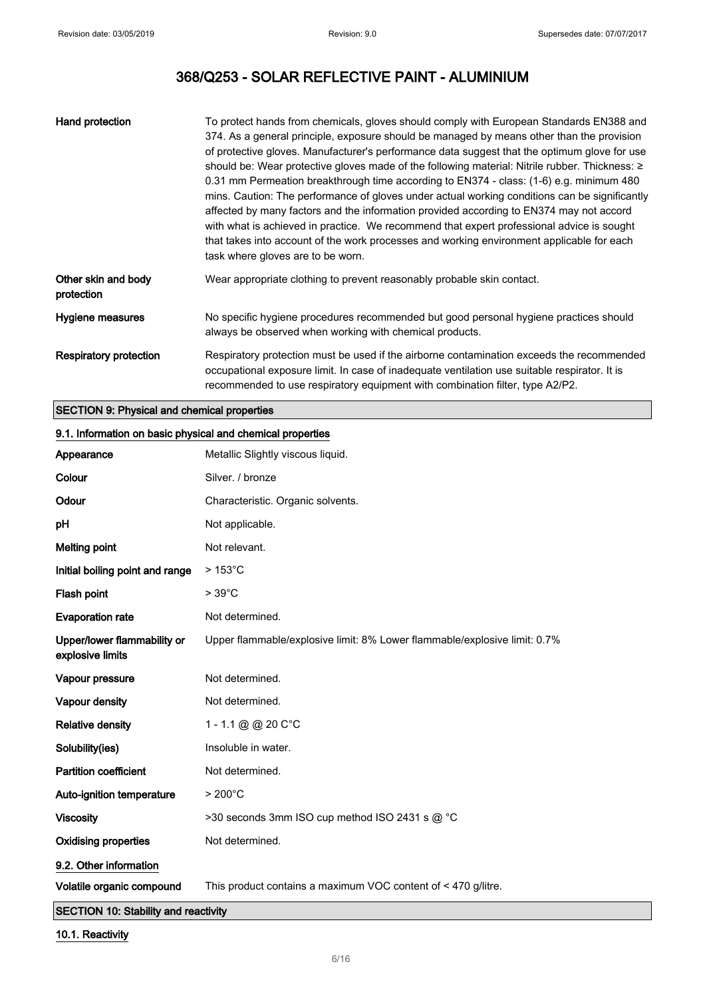| Hand protection                   | To protect hands from chemicals, gloves should comply with European Standards EN388 and<br>374. As a general principle, exposure should be managed by means other than the provision<br>of protective gloves. Manufacturer's performance data suggest that the optimum glove for use<br>should be: Wear protective gloves made of the following material: Nitrile rubber. Thickness: ≥<br>0.31 mm Permeation breakthrough time according to EN374 - class: (1-6) e.g. minimum 480<br>mins. Caution: The performance of gloves under actual working conditions can be significantly<br>affected by many factors and the information provided according to EN374 may not accord<br>with what is achieved in practice. We recommend that expert professional advice is sought<br>that takes into account of the work processes and working environment applicable for each<br>task where gloves are to be worn. |
|-----------------------------------|--------------------------------------------------------------------------------------------------------------------------------------------------------------------------------------------------------------------------------------------------------------------------------------------------------------------------------------------------------------------------------------------------------------------------------------------------------------------------------------------------------------------------------------------------------------------------------------------------------------------------------------------------------------------------------------------------------------------------------------------------------------------------------------------------------------------------------------------------------------------------------------------------------------|
| Other skin and body<br>protection | Wear appropriate clothing to prevent reasonably probable skin contact.                                                                                                                                                                                                                                                                                                                                                                                                                                                                                                                                                                                                                                                                                                                                                                                                                                       |
| Hygiene measures                  | No specific hygiene procedures recommended but good personal hygiene practices should<br>always be observed when working with chemical products.                                                                                                                                                                                                                                                                                                                                                                                                                                                                                                                                                                                                                                                                                                                                                             |
| Respiratory protection            | Respiratory protection must be used if the airborne contamination exceeds the recommended<br>occupational exposure limit. In case of inadequate ventilation use suitable respirator. It is<br>recommended to use respiratory equipment with combination filter, type A2/P2.                                                                                                                                                                                                                                                                                                                                                                                                                                                                                                                                                                                                                                  |

### SECTION 9: Physical and chemical properties

| 9. 1. 111101111411011 ON David Dhydidal and Chomical Dioportios<br>Appearance | Metallic Slightly viscous liquid.                                         |
|-------------------------------------------------------------------------------|---------------------------------------------------------------------------|
| Colour                                                                        | Silver. / bronze                                                          |
| Odour                                                                         | Characteristic. Organic solvents.                                         |
| pH                                                                            | Not applicable.                                                           |
| <b>Melting point</b>                                                          | Not relevant.                                                             |
| Initial boiling point and range                                               | $>153^{\circ}$ C                                                          |
| Flash point                                                                   | $>39^{\circ}$ C                                                           |
| <b>Evaporation rate</b>                                                       | Not determined.                                                           |
| Upper/lower flammability or<br>explosive limits                               | Upper flammable/explosive limit: 8% Lower flammable/explosive limit: 0.7% |
| Vapour pressure                                                               | Not determined.                                                           |
| Vapour density                                                                | Not determined.                                                           |
| <b>Relative density</b>                                                       | 1 - 1.1 @ @ 20 C°C                                                        |
| Solubility(ies)                                                               | Insoluble in water.                                                       |
| <b>Partition coefficient</b>                                                  | Not determined.                                                           |
| Auto-ignition temperature                                                     | $>200^{\circ}$ C                                                          |
| <b>Viscosity</b>                                                              | >30 seconds 3mm ISO cup method ISO 2431 s @ °C                            |
| <b>Oxidising properties</b>                                                   | Not determined.                                                           |
| 9.2. Other information                                                        |                                                                           |
| Volatile organic compound                                                     | This product contains a maximum VOC content of < 470 g/litre.             |
|                                                                               |                                                                           |

#### 9.1. Information on basic physical and chemical properties

SECTION 10: Stability and reactivity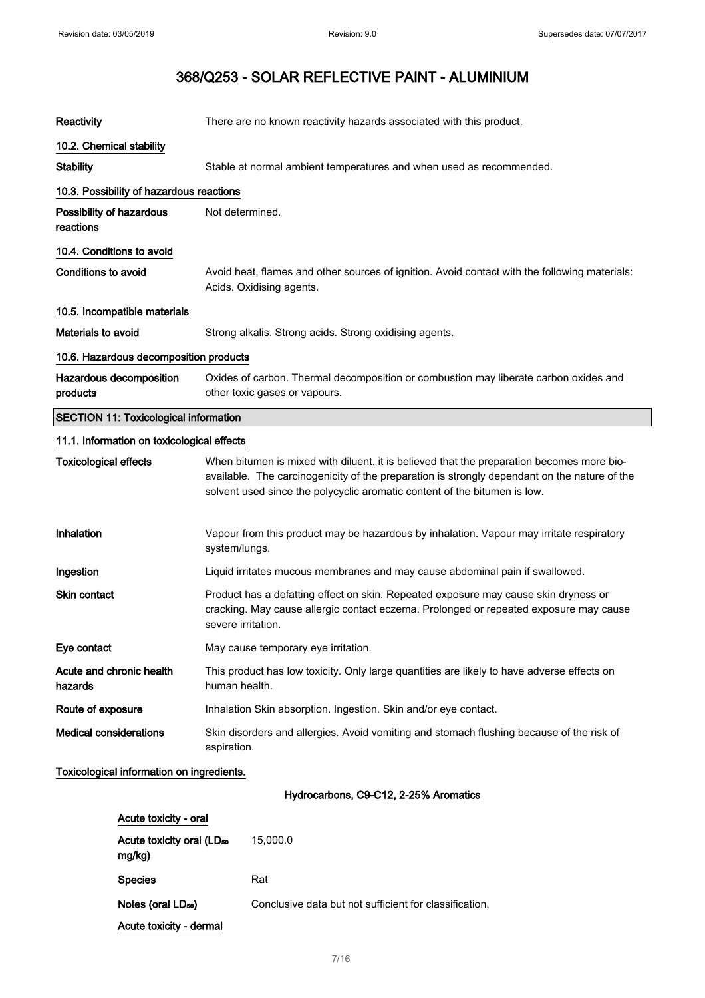| Reactivity                                   | There are no known reactivity hazards associated with this product.                                                                                                                                                                                                    |
|----------------------------------------------|------------------------------------------------------------------------------------------------------------------------------------------------------------------------------------------------------------------------------------------------------------------------|
| 10.2. Chemical stability                     |                                                                                                                                                                                                                                                                        |
| <b>Stability</b>                             | Stable at normal ambient temperatures and when used as recommended.                                                                                                                                                                                                    |
| 10.3. Possibility of hazardous reactions     |                                                                                                                                                                                                                                                                        |
| Possibility of hazardous<br>reactions        | Not determined.                                                                                                                                                                                                                                                        |
| 10.4. Conditions to avoid                    |                                                                                                                                                                                                                                                                        |
| <b>Conditions to avoid</b>                   | Avoid heat, flames and other sources of ignition. Avoid contact with the following materials:<br>Acids. Oxidising agents.                                                                                                                                              |
| 10.5. Incompatible materials                 |                                                                                                                                                                                                                                                                        |
| <b>Materials to avoid</b>                    | Strong alkalis. Strong acids. Strong oxidising agents.                                                                                                                                                                                                                 |
| 10.6. Hazardous decomposition products       |                                                                                                                                                                                                                                                                        |
| Hazardous decomposition<br>products          | Oxides of carbon. Thermal decomposition or combustion may liberate carbon oxides and<br>other toxic gases or vapours.                                                                                                                                                  |
| <b>SECTION 11: Toxicological information</b> |                                                                                                                                                                                                                                                                        |
| 11.1. Information on toxicological effects   |                                                                                                                                                                                                                                                                        |
| <b>Toxicological effects</b>                 | When bitumen is mixed with diluent, it is believed that the preparation becomes more bio-<br>available. The carcinogenicity of the preparation is strongly dependant on the nature of the<br>solvent used since the polycyclic aromatic content of the bitumen is low. |
| Inhalation                                   | Vapour from this product may be hazardous by inhalation. Vapour may irritate respiratory<br>system/lungs.                                                                                                                                                              |
| Ingestion                                    | Liquid irritates mucous membranes and may cause abdominal pain if swallowed.                                                                                                                                                                                           |
| <b>Skin contact</b>                          | Product has a defatting effect on skin. Repeated exposure may cause skin dryness or<br>cracking. May cause allergic contact eczema. Prolonged or repeated exposure may cause<br>severe irritation.                                                                     |
| Eye contact                                  | May cause temporary eye irritation.                                                                                                                                                                                                                                    |
| Acute and chronic health<br>hazards          | This product has low toxicity. Only large quantities are likely to have adverse effects on<br>human health.                                                                                                                                                            |
| Route of exposure                            | Inhalation Skin absorption. Ingestion. Skin and/or eye contact.                                                                                                                                                                                                        |
| <b>Medical considerations</b>                | Skin disorders and allergies. Avoid vomiting and stomach flushing because of the risk of<br>aspiration.                                                                                                                                                                |
| Toxicological information on ingredients.    |                                                                                                                                                                                                                                                                        |
|                                              | Hydrocarbons, C9-C12, 2-25% Aromatics                                                                                                                                                                                                                                  |

| Acute toxicity - oral                           |                                                        |
|-------------------------------------------------|--------------------------------------------------------|
| Acute toxicity oral (LD <sub>50</sub><br>mg/kg) | 15,000.0                                               |
| <b>Species</b>                                  | Rat                                                    |
| Notes (oral LD <sub>50</sub> )                  | Conclusive data but not sufficient for classification. |
| Acute toxicity - dermal                         |                                                        |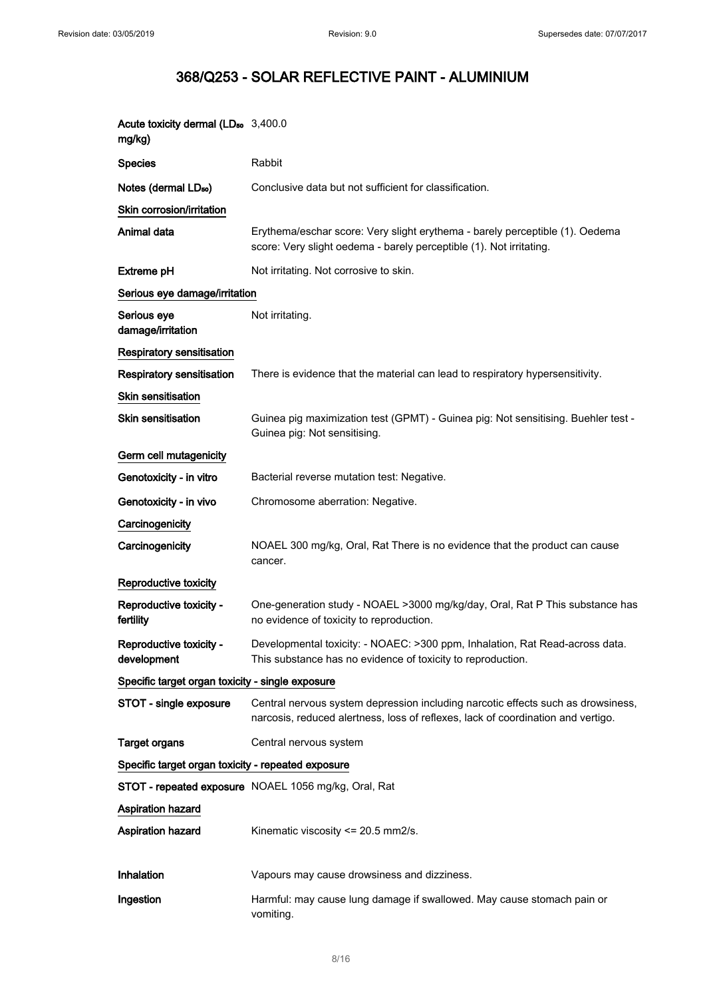| Acute toxicity dermal (LD <sub>50</sub> 3,400.0<br>mg/kg) |                                                                                                                                                                      |
|-----------------------------------------------------------|----------------------------------------------------------------------------------------------------------------------------------------------------------------------|
| <b>Species</b>                                            | Rabbit                                                                                                                                                               |
| Notes (dermal LD <sub>50</sub> )                          | Conclusive data but not sufficient for classification.                                                                                                               |
| Skin corrosion/irritation                                 |                                                                                                                                                                      |
| Animal data                                               | Erythema/eschar score: Very slight erythema - barely perceptible (1). Oedema<br>score: Very slight oedema - barely perceptible (1). Not irritating.                  |
| <b>Extreme pH</b>                                         | Not irritating. Not corrosive to skin.                                                                                                                               |
| Serious eye damage/irritation                             |                                                                                                                                                                      |
| Serious eye<br>damage/irritation                          | Not irritating.                                                                                                                                                      |
| Respiratory sensitisation                                 |                                                                                                                                                                      |
| <b>Respiratory sensitisation</b>                          | There is evidence that the material can lead to respiratory hypersensitivity.                                                                                        |
| Skin sensitisation                                        |                                                                                                                                                                      |
| Skin sensitisation                                        | Guinea pig maximization test (GPMT) - Guinea pig: Not sensitising. Buehler test -<br>Guinea pig: Not sensitising.                                                    |
| Germ cell mutagenicity                                    |                                                                                                                                                                      |
| Genotoxicity - in vitro                                   | Bacterial reverse mutation test: Negative.                                                                                                                           |
| Genotoxicity - in vivo                                    | Chromosome aberration: Negative.                                                                                                                                     |
| Carcinogenicity                                           |                                                                                                                                                                      |
| Carcinogenicity                                           | NOAEL 300 mg/kg, Oral, Rat There is no evidence that the product can cause<br>cancer.                                                                                |
| Reproductive toxicity                                     |                                                                                                                                                                      |
| Reproductive toxicity -<br>fertility                      | One-generation study - NOAEL >3000 mg/kg/day, Oral, Rat P This substance has<br>no evidence of toxicity to reproduction.                                             |
| Reproductive toxicity -<br>development                    | Developmental toxicity: - NOAEC: >300 ppm, Inhalation, Rat Read-across data.<br>This substance has no evidence of toxicity to reproduction.                          |
| Specific target organ toxicity - single exposure          |                                                                                                                                                                      |
| STOT - single exposure                                    | Central nervous system depression including narcotic effects such as drowsiness,<br>narcosis, reduced alertness, loss of reflexes, lack of coordination and vertigo. |
| <b>Target organs</b>                                      | Central nervous system                                                                                                                                               |
| Specific target organ toxicity - repeated exposure        |                                                                                                                                                                      |
|                                                           | STOT - repeated exposure NOAEL 1056 mg/kg, Oral, Rat                                                                                                                 |
| Aspiration hazard                                         |                                                                                                                                                                      |
| Aspiration hazard                                         | Kinematic viscosity <= 20.5 mm2/s.                                                                                                                                   |
|                                                           |                                                                                                                                                                      |
| Inhalation                                                | Vapours may cause drowsiness and dizziness.                                                                                                                          |
| Ingestion                                                 | Harmful: may cause lung damage if swallowed. May cause stomach pain or<br>vomiting.                                                                                  |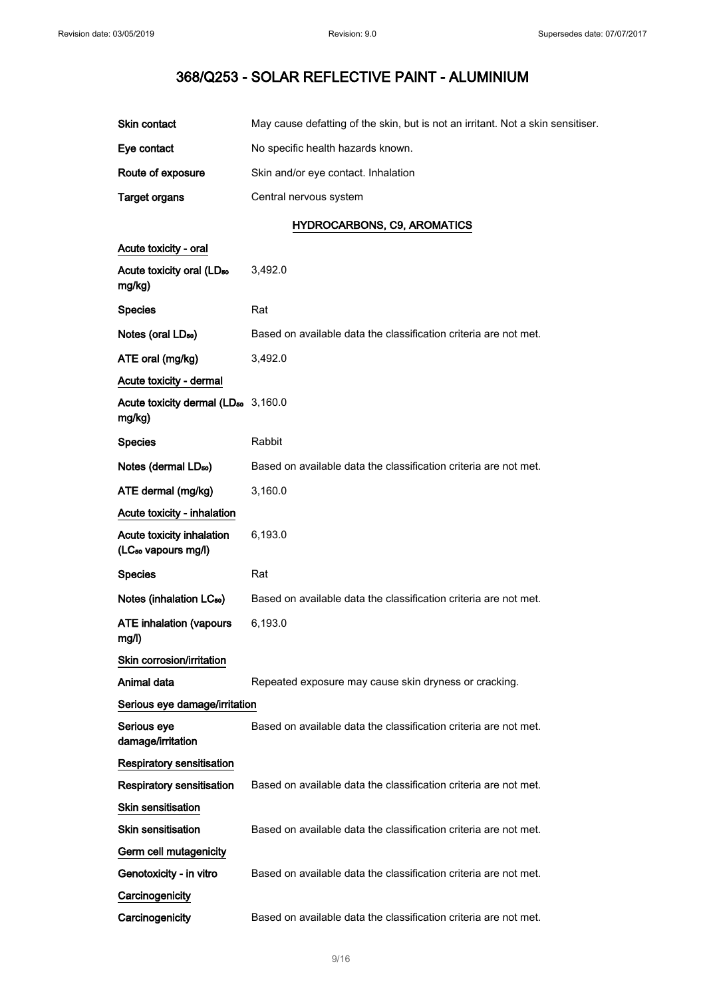| Skin contact                                                 | May cause defatting of the skin, but is not an irritant. Not a skin sensitiser. |  |
|--------------------------------------------------------------|---------------------------------------------------------------------------------|--|
| Eye contact                                                  | No specific health hazards known.                                               |  |
| Route of exposure                                            | Skin and/or eye contact. Inhalation                                             |  |
| <b>Target organs</b>                                         | Central nervous system                                                          |  |
|                                                              | <b>HYDROCARBONS, C9, AROMATICS</b>                                              |  |
| Acute toxicity - oral                                        |                                                                                 |  |
| Acute toxicity oral (LD <sub>50</sub><br>mg/kg)              | 3,492.0                                                                         |  |
| <b>Species</b>                                               | Rat                                                                             |  |
| Notes (oral LD <sub>50</sub> )                               | Based on available data the classification criteria are not met.                |  |
| ATE oral (mg/kg)                                             | 3,492.0                                                                         |  |
| Acute toxicity - dermal                                      |                                                                                 |  |
| Acute toxicity dermal (LD <sub>50</sub> 3,160.0<br>mg/kg)    |                                                                                 |  |
| <b>Species</b>                                               | Rabbit                                                                          |  |
| Notes (dermal LD <sub>50</sub> )                             | Based on available data the classification criteria are not met.                |  |
| ATE dermal (mg/kg)                                           | 3,160.0                                                                         |  |
| Acute toxicity - inhalation                                  |                                                                                 |  |
| Acute toxicity inhalation<br>(LC <sub>50</sub> vapours mg/l) | 6,193.0                                                                         |  |
| <b>Species</b>                                               | Rat                                                                             |  |
| Notes (inhalation LC <sub>50</sub> )                         | Based on available data the classification criteria are not met.                |  |
| <b>ATE inhalation (vapours</b><br>mg/l)                      | 6,193.0                                                                         |  |
| Skin corrosion/irritation                                    |                                                                                 |  |
| Animal data                                                  | Repeated exposure may cause skin dryness or cracking.                           |  |
| Serious eye damage/irritation                                |                                                                                 |  |
| Serious eye<br>damage/irritation                             | Based on available data the classification criteria are not met.                |  |
| Respiratory sensitisation                                    |                                                                                 |  |
| <b>Respiratory sensitisation</b>                             | Based on available data the classification criteria are not met.                |  |
| <b>Skin sensitisation</b>                                    |                                                                                 |  |
| <b>Skin sensitisation</b>                                    | Based on available data the classification criteria are not met.                |  |
| Germ cell mutagenicity                                       |                                                                                 |  |
| Genotoxicity - in vitro                                      | Based on available data the classification criteria are not met.                |  |
| Carcinogenicity                                              |                                                                                 |  |
| Carcinogenicity                                              | Based on available data the classification criteria are not met.                |  |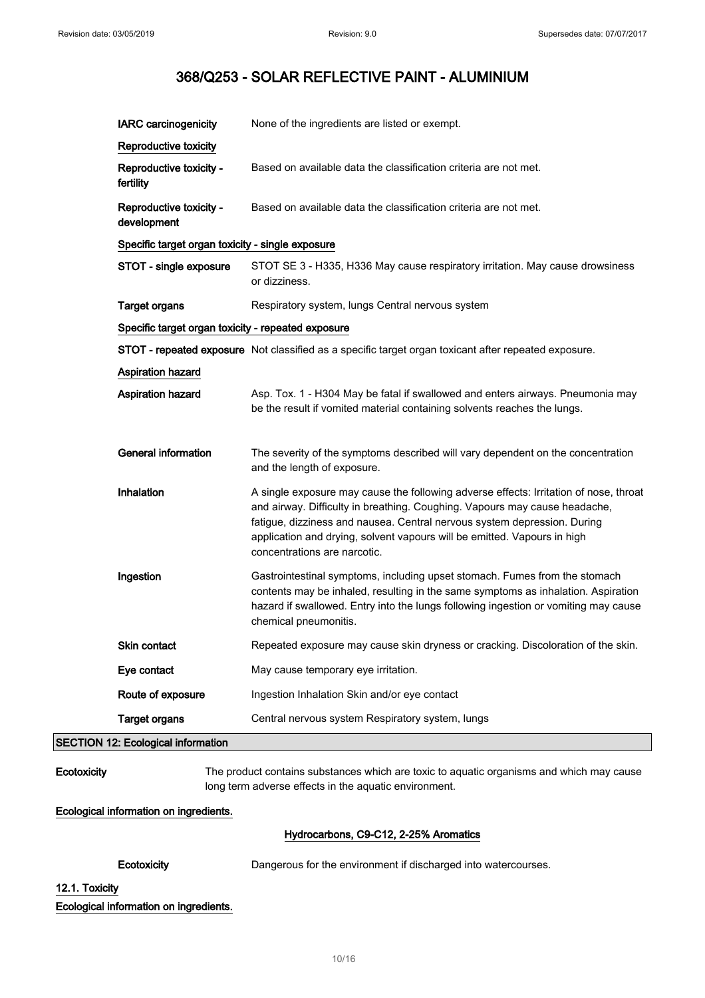|             | Ecotoxicity                                                                | Dangerous for the environment if discharged into watercourses.                                                                                                                                                                                                                                                                                              |
|-------------|----------------------------------------------------------------------------|-------------------------------------------------------------------------------------------------------------------------------------------------------------------------------------------------------------------------------------------------------------------------------------------------------------------------------------------------------------|
|             |                                                                            | Hydrocarbons, C9-C12, 2-25% Aromatics                                                                                                                                                                                                                                                                                                                       |
|             | Ecological information on ingredients.                                     |                                                                                                                                                                                                                                                                                                                                                             |
| Ecotoxicity |                                                                            | The product contains substances which are toxic to aquatic organisms and which may cause<br>long term adverse effects in the aquatic environment.                                                                                                                                                                                                           |
|             | <b>SECTION 12: Ecological information</b>                                  |                                                                                                                                                                                                                                                                                                                                                             |
|             | <b>Target organs</b>                                                       | Central nervous system Respiratory system, lungs                                                                                                                                                                                                                                                                                                            |
|             | Route of exposure                                                          | Ingestion Inhalation Skin and/or eye contact                                                                                                                                                                                                                                                                                                                |
|             | Eye contact                                                                | May cause temporary eye irritation.                                                                                                                                                                                                                                                                                                                         |
|             | Skin contact                                                               | Repeated exposure may cause skin dryness or cracking. Discoloration of the skin.                                                                                                                                                                                                                                                                            |
|             | Ingestion                                                                  | Gastrointestinal symptoms, including upset stomach. Fumes from the stomach<br>contents may be inhaled, resulting in the same symptoms as inhalation. Aspiration<br>hazard if swallowed. Entry into the lungs following ingestion or vomiting may cause<br>chemical pneumonitis.                                                                             |
|             | Inhalation                                                                 | A single exposure may cause the following adverse effects: Irritation of nose, throat<br>and airway. Difficulty in breathing. Coughing. Vapours may cause headache,<br>fatigue, dizziness and nausea. Central nervous system depression. During<br>application and drying, solvent vapours will be emitted. Vapours in high<br>concentrations are narcotic. |
|             | General information                                                        | The severity of the symptoms described will vary dependent on the concentration<br>and the length of exposure.                                                                                                                                                                                                                                              |
|             | Aspiration hazard                                                          | Asp. Tox. 1 - H304 May be fatal if swallowed and enters airways. Pneumonia may<br>be the result if vomited material containing solvents reaches the lungs.                                                                                                                                                                                                  |
|             | Aspiration hazard                                                          |                                                                                                                                                                                                                                                                                                                                                             |
|             |                                                                            | STOT - repeated exposure Not classified as a specific target organ toxicant after repeated exposure.                                                                                                                                                                                                                                                        |
|             | Specific target organ toxicity - repeated exposure                         |                                                                                                                                                                                                                                                                                                                                                             |
|             | <b>Target organs</b>                                                       | or dizziness.<br>Respiratory system, lungs Central nervous system                                                                                                                                                                                                                                                                                           |
|             | Specific target organ toxicity - single exposure<br>STOT - single exposure | STOT SE 3 - H335, H336 May cause respiratory irritation. May cause drowsiness                                                                                                                                                                                                                                                                               |
|             | development                                                                |                                                                                                                                                                                                                                                                                                                                                             |
|             | fertility<br>Reproductive toxicity -                                       | Based on available data the classification criteria are not met.                                                                                                                                                                                                                                                                                            |
|             | Reproductive toxicity<br>Reproductive toxicity -                           | Based on available data the classification criteria are not met.                                                                                                                                                                                                                                                                                            |
|             | <b>IARC</b> carcinogenicity                                                | None of the ingredients are listed or exempt.                                                                                                                                                                                                                                                                                                               |
|             |                                                                            |                                                                                                                                                                                                                                                                                                                                                             |

12.1. Toxicity

Ecological information on ingredients.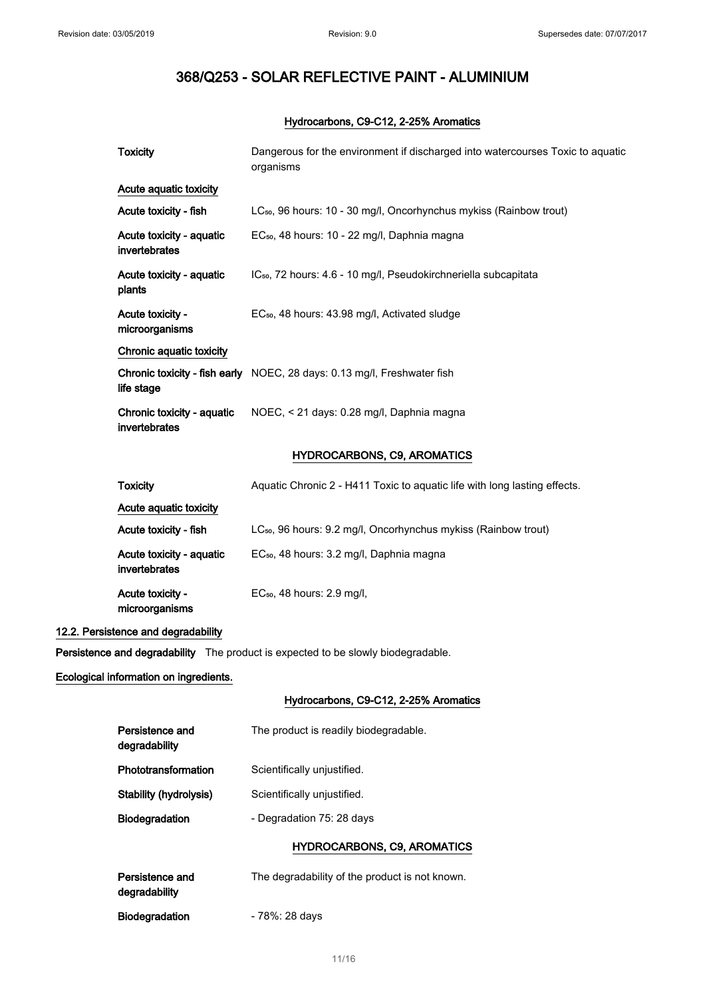### Hydrocarbons, C9-C12, 2-25% Aromatics

| <b>Toxicity</b>                             | Dangerous for the environment if discharged into watercourses Toxic to aquatic<br>organisms |
|---------------------------------------------|---------------------------------------------------------------------------------------------|
| Acute aquatic toxicity                      |                                                                                             |
| Acute toxicity - fish                       | LC <sub>50</sub> , 96 hours: 10 - 30 mg/l, Oncorhynchus mykiss (Rainbow trout)              |
| Acute toxicity - aquatic<br>invertebrates   | EC <sub>50</sub> , 48 hours: 10 - 22 mg/l, Daphnia magna                                    |
| Acute toxicity - aquatic<br>plants          | IC <sub>50</sub> , 72 hours: 4.6 - 10 mg/l, Pseudokirchneriella subcapitata                 |
| Acute toxicity -<br>microorganisms          | EC <sub>50</sub> , 48 hours: 43.98 mg/l, Activated sludge                                   |
| Chronic aquatic toxicity                    |                                                                                             |
| life stage                                  | Chronic toxicity - fish early NOEC, 28 days: 0.13 mg/l, Freshwater fish                     |
| Chronic toxicity - aquatic<br>invertebrates | NOEC, < 21 days: 0.28 mg/l, Daphnia magna                                                   |
|                                             | HYDROCARBONS, C9, AROMATICS                                                                 |
| <b>Toxicity</b>                             | Aquatic Chronic 2 - H411 Toxic to aquatic life with long lasting effects.                   |
| Acute aquatic toxicity                      |                                                                                             |

| Acute aqualic toxicity                    |                                                                     |
|-------------------------------------------|---------------------------------------------------------------------|
| Acute toxicity - fish                     | $LC_{50}$ , 96 hours: 9.2 mg/l, Oncorhynchus mykiss (Rainbow trout) |
| Acute toxicity - aquatic<br>invertebrates | EC <sub>50</sub> , 48 hours: 3.2 mg/l, Daphnia magna                |
| Acute toxicity -<br>microorganisms        | $EC_{50}$ , 48 hours: 2.9 mg/l,                                     |

### 12.2. Persistence and degradability

Persistence and degradability The product is expected to be slowly biodegradable.

### Ecological information on ingredients.

## Hydrocarbons, C9-C12, 2-25% Aromatics

| Persistence and<br>degradability | The product is readily biodegradable. |
|----------------------------------|---------------------------------------|
| Phototransformation              | Scientifically unjustified.           |
| Stability (hydrolysis)           | Scientifically unjustified.           |
| <b>Biodegradation</b>            | - Degradation 75: 28 days             |
|                                  |                                       |

## HYDROCARBONS, C9, AROMATICS

| Persistence and<br>degradability | The degradability of the product is not known. |
|----------------------------------|------------------------------------------------|
| Biodegradation                   | - 78%: 28 days                                 |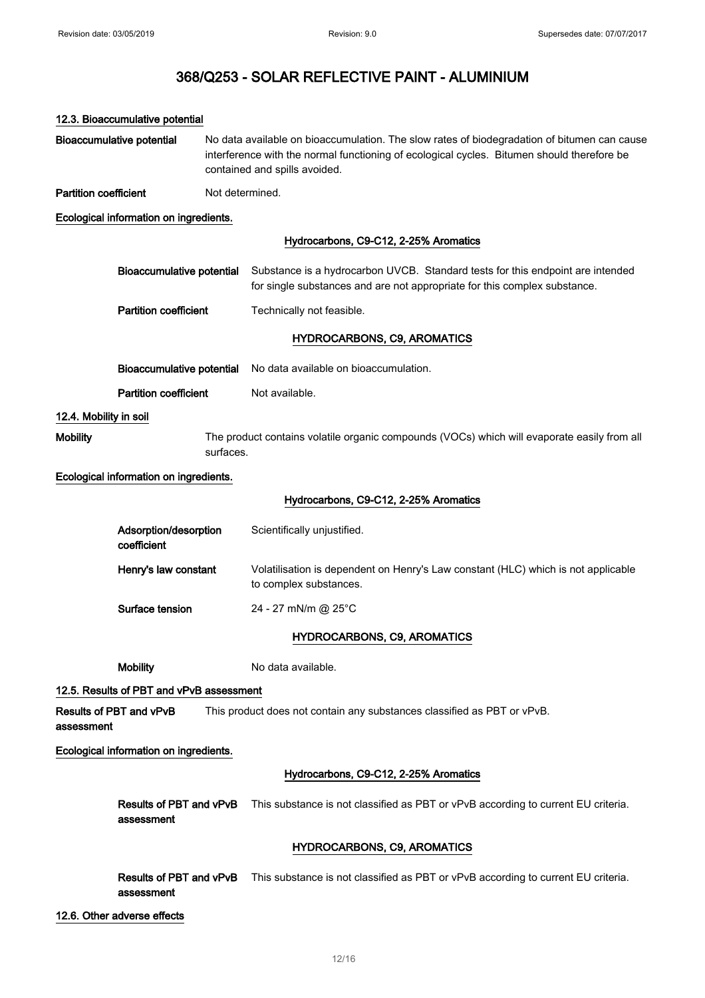|                                  | 12.3. Bioaccumulative potential          |                                                                                                                                                                                                                            |                                                                                                                                                             |
|----------------------------------|------------------------------------------|----------------------------------------------------------------------------------------------------------------------------------------------------------------------------------------------------------------------------|-------------------------------------------------------------------------------------------------------------------------------------------------------------|
| <b>Bioaccumulative potential</b> |                                          | No data available on bioaccumulation. The slow rates of biodegradation of bitumen can cause<br>interference with the normal functioning of ecological cycles. Bitumen should therefore be<br>contained and spills avoided. |                                                                                                                                                             |
| <b>Partition coefficient</b>     |                                          | Not determined.                                                                                                                                                                                                            |                                                                                                                                                             |
|                                  | Ecological information on ingredients.   |                                                                                                                                                                                                                            |                                                                                                                                                             |
|                                  |                                          |                                                                                                                                                                                                                            | Hydrocarbons, C9-C12, 2-25% Aromatics                                                                                                                       |
|                                  | Bioaccumulative potential                |                                                                                                                                                                                                                            | Substance is a hydrocarbon UVCB. Standard tests for this endpoint are intended<br>for single substances and are not appropriate for this complex substance. |
|                                  | <b>Partition coefficient</b>             |                                                                                                                                                                                                                            | Technically not feasible.                                                                                                                                   |
|                                  |                                          |                                                                                                                                                                                                                            | <b>HYDROCARBONS, C9, AROMATICS</b>                                                                                                                          |
|                                  | <b>Bioaccumulative potential</b>         |                                                                                                                                                                                                                            | No data available on bioaccumulation.                                                                                                                       |
|                                  | <b>Partition coefficient</b>             |                                                                                                                                                                                                                            | Not available.                                                                                                                                              |
| 12.4. Mobility in soil           |                                          |                                                                                                                                                                                                                            |                                                                                                                                                             |
| <b>Mobility</b>                  |                                          | surfaces.                                                                                                                                                                                                                  | The product contains volatile organic compounds (VOCs) which will evaporate easily from all                                                                 |
|                                  | Ecological information on ingredients.   |                                                                                                                                                                                                                            |                                                                                                                                                             |
|                                  |                                          |                                                                                                                                                                                                                            | Hydrocarbons, C9-C12, 2-25% Aromatics                                                                                                                       |
|                                  | Adsorption/desorption<br>coefficient     |                                                                                                                                                                                                                            | Scientifically unjustified.                                                                                                                                 |
|                                  | Henry's law constant                     |                                                                                                                                                                                                                            | Volatilisation is dependent on Henry's Law constant (HLC) which is not applicable<br>to complex substances.                                                 |
|                                  | Surface tension                          |                                                                                                                                                                                                                            | 24 - 27 mN/m @ 25°C                                                                                                                                         |
|                                  |                                          |                                                                                                                                                                                                                            | <b>HYDROCARBONS, C9, AROMATICS</b>                                                                                                                          |
|                                  | <b>Mobility</b>                          |                                                                                                                                                                                                                            | No data available.                                                                                                                                          |
|                                  | 12.5. Results of PBT and vPvB assessment |                                                                                                                                                                                                                            |                                                                                                                                                             |
| assessment                       | Results of PBT and vPvB                  |                                                                                                                                                                                                                            | This product does not contain any substances classified as PBT or vPvB.                                                                                     |
|                                  | Ecological information on ingredients.   |                                                                                                                                                                                                                            |                                                                                                                                                             |
|                                  |                                          |                                                                                                                                                                                                                            | Hydrocarbons, C9-C12, 2-25% Aromatics                                                                                                                       |
|                                  | assessment                               |                                                                                                                                                                                                                            | Results of PBT and vPvB This substance is not classified as PBT or vPvB according to current EU criteria.                                                   |
|                                  |                                          |                                                                                                                                                                                                                            | <b>HYDROCARBONS, C9, AROMATICS</b>                                                                                                                          |
|                                  | Results of PBT and vPvB<br>assessment    |                                                                                                                                                                                                                            | This substance is not classified as PBT or vPvB according to current EU criteria.                                                                           |
|                                  | 12.6. Other adverse effects              |                                                                                                                                                                                                                            |                                                                                                                                                             |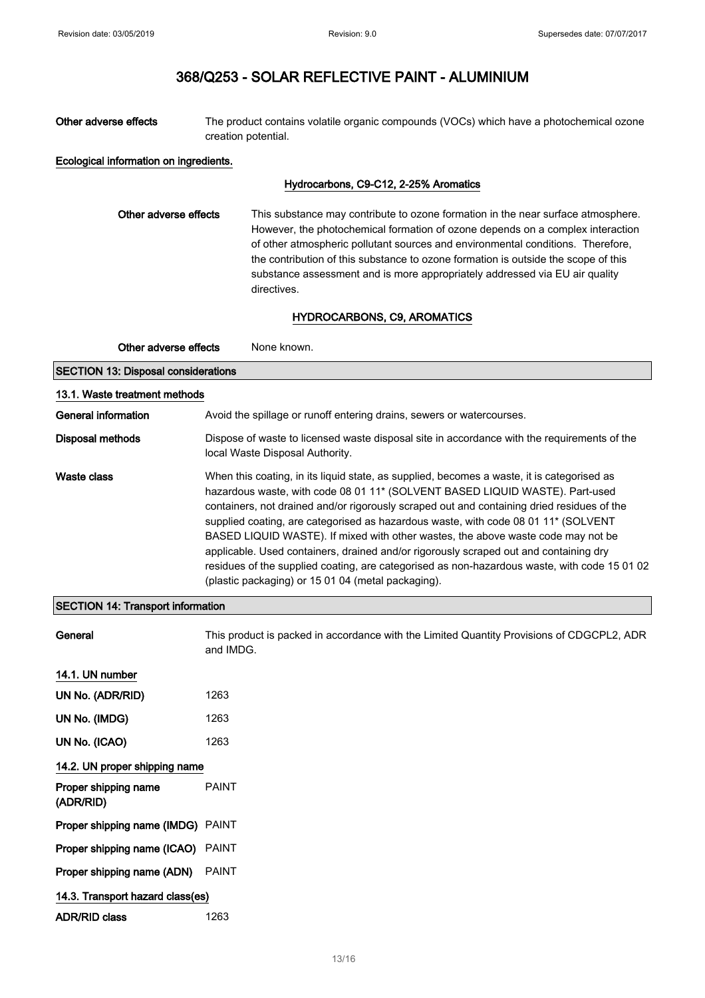| Other adverse effects                      | The product contains volatile organic compounds (VOCs) which have a photochemical ozone<br>creation potential.                                                                                                                                                                                                                                                                                                                            |
|--------------------------------------------|-------------------------------------------------------------------------------------------------------------------------------------------------------------------------------------------------------------------------------------------------------------------------------------------------------------------------------------------------------------------------------------------------------------------------------------------|
| Ecological information on ingredients.     |                                                                                                                                                                                                                                                                                                                                                                                                                                           |
|                                            | Hydrocarbons, C9-C12, 2-25% Aromatics                                                                                                                                                                                                                                                                                                                                                                                                     |
| Other adverse effects                      | This substance may contribute to ozone formation in the near surface atmosphere.<br>However, the photochemical formation of ozone depends on a complex interaction<br>of other atmospheric pollutant sources and environmental conditions. Therefore,<br>the contribution of this substance to ozone formation is outside the scope of this<br>substance assessment and is more appropriately addressed via EU air quality<br>directives. |
|                                            | HYDROCARBONS, C9, AROMATICS                                                                                                                                                                                                                                                                                                                                                                                                               |
| Other adverse effects                      | None known.                                                                                                                                                                                                                                                                                                                                                                                                                               |
| <b>SECTION 13: Disposal considerations</b> |                                                                                                                                                                                                                                                                                                                                                                                                                                           |
| 13.1. Waste treatment methods              |                                                                                                                                                                                                                                                                                                                                                                                                                                           |

| General information     | Avoid the spillage or runoff entering drains, sewers or watercourses.                                                                                                                                                                                                                                                                                                                                                                                                                                                                                                                                                                                                                             |
|-------------------------|---------------------------------------------------------------------------------------------------------------------------------------------------------------------------------------------------------------------------------------------------------------------------------------------------------------------------------------------------------------------------------------------------------------------------------------------------------------------------------------------------------------------------------------------------------------------------------------------------------------------------------------------------------------------------------------------------|
| <b>Disposal methods</b> | Dispose of waste to licensed waste disposal site in accordance with the requirements of the<br>local Waste Disposal Authority.                                                                                                                                                                                                                                                                                                                                                                                                                                                                                                                                                                    |
| Waste class             | When this coating, in its liquid state, as supplied, becomes a waste, it is categorised as<br>hazardous waste, with code 08 01 11* (SOLVENT BASED LIQUID WASTE). Part-used<br>containers, not drained and/or rigorously scraped out and containing dried residues of the<br>supplied coating, are categorised as hazardous waste, with code 08 01 11* (SOLVENT<br>BASED LIQUID WASTE). If mixed with other wastes, the above waste code may not be<br>applicable. Used containers, drained and/or rigorously scraped out and containing dry<br>residues of the supplied coating, are categorised as non-hazardous waste, with code 15 01 02<br>(plastic packaging) or 15 01 04 (metal packaging). |

## SECTION 14: Transport information

| General                           | This product is packed in accordance with the Limited Quantity Provisions of CDGCPL2, ADR<br>and IMDG. |
|-----------------------------------|--------------------------------------------------------------------------------------------------------|
| 14.1. UN number                   |                                                                                                        |
| UN No. (ADR/RID)                  | 1263                                                                                                   |
| UN No. (IMDG)                     | 1263                                                                                                   |
| UN No. (ICAO)                     | 1263                                                                                                   |
| 14.2. UN proper shipping name     |                                                                                                        |
| Proper shipping name<br>(ADR/RID) | <b>PAINT</b>                                                                                           |
| Proper shipping name (IMDG) PAINT |                                                                                                        |
| Proper shipping name (ICAO) PAINT |                                                                                                        |
| Proper shipping name (ADN)        | <b>PAINT</b>                                                                                           |
| 14.3. Transport hazard class(es)  |                                                                                                        |
| <b>ADR/RID class</b>              | 1263                                                                                                   |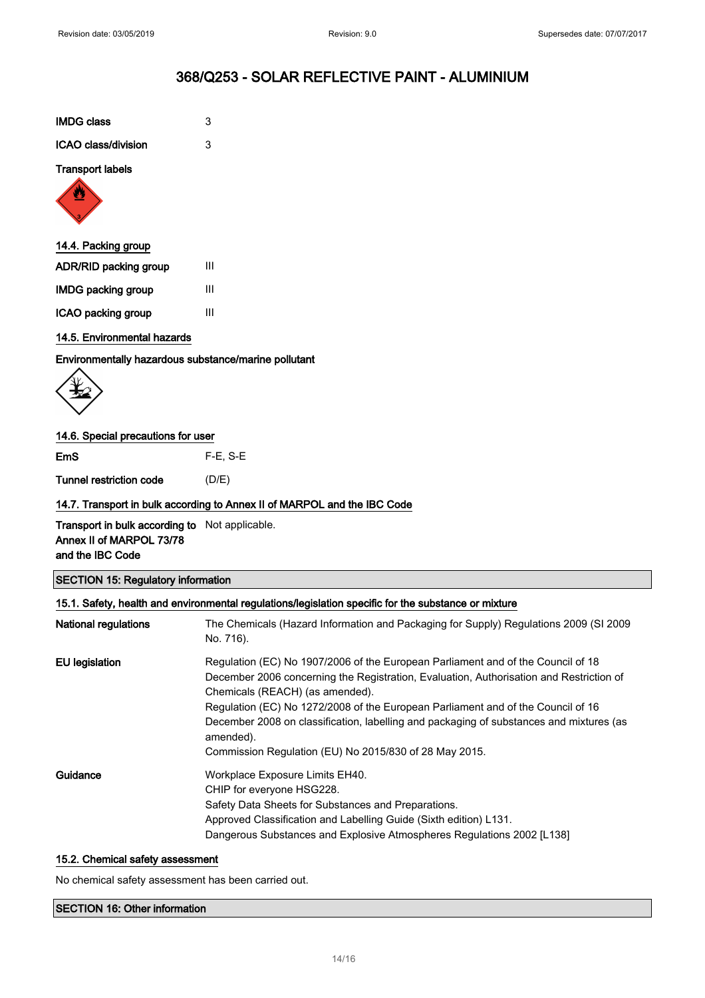| <b>IMDG class</b>   | 3 |
|---------------------|---|
| ICAO class/division | З |

#### Transport labels



## 14.4. Packing group

| <b>ADR/RID packing group</b> | Ш |  |
|------------------------------|---|--|
| IMDG packing group           | Ш |  |
| ICAO packing group           | Ш |  |

### 14.5. Environmental hazards

Environmentally hazardous substance/marine pollutant

$$
\left\langle \begin{matrix} \psi \\ \psi \end{matrix} \right\rangle
$$

### 14.6. Special precautions for user

EmS F-E, S-E

Tunnel restriction code (D/E)

## 14.7. Transport in bulk according to Annex II of MARPOL and the IBC Code

Transport in bulk according to Not applicable. Annex II of MARPOL 73/78 and the IBC Code

## SECTION 15: Regulatory information

|                      | 15.1. Safety, health and environmental regulations/legislation specific for the substance or mixture                                                                                                                                                                                                                                                                                                                                                                 |
|----------------------|----------------------------------------------------------------------------------------------------------------------------------------------------------------------------------------------------------------------------------------------------------------------------------------------------------------------------------------------------------------------------------------------------------------------------------------------------------------------|
| National regulations | The Chemicals (Hazard Information and Packaging for Supply) Regulations 2009 (SI 2009<br>No. 716).                                                                                                                                                                                                                                                                                                                                                                   |
| EU legislation       | Regulation (EC) No 1907/2006 of the European Parliament and of the Council of 18<br>December 2006 concerning the Registration, Evaluation, Authorisation and Restriction of<br>Chemicals (REACH) (as amended).<br>Regulation (EC) No 1272/2008 of the European Parliament and of the Council of 16<br>December 2008 on classification, labelling and packaging of substances and mixtures (as<br>amended).<br>Commission Regulation (EU) No 2015/830 of 28 May 2015. |
| Guidance             | Workplace Exposure Limits EH40.<br>CHIP for everyone HSG228.<br>Safety Data Sheets for Substances and Preparations.<br>Approved Classification and Labelling Guide (Sixth edition) L131.<br>Dangerous Substances and Explosive Atmospheres Regulations 2002 [L138]                                                                                                                                                                                                   |

### 15.2. Chemical safety assessment

No chemical safety assessment has been carried out.

### SECTION 16: Other information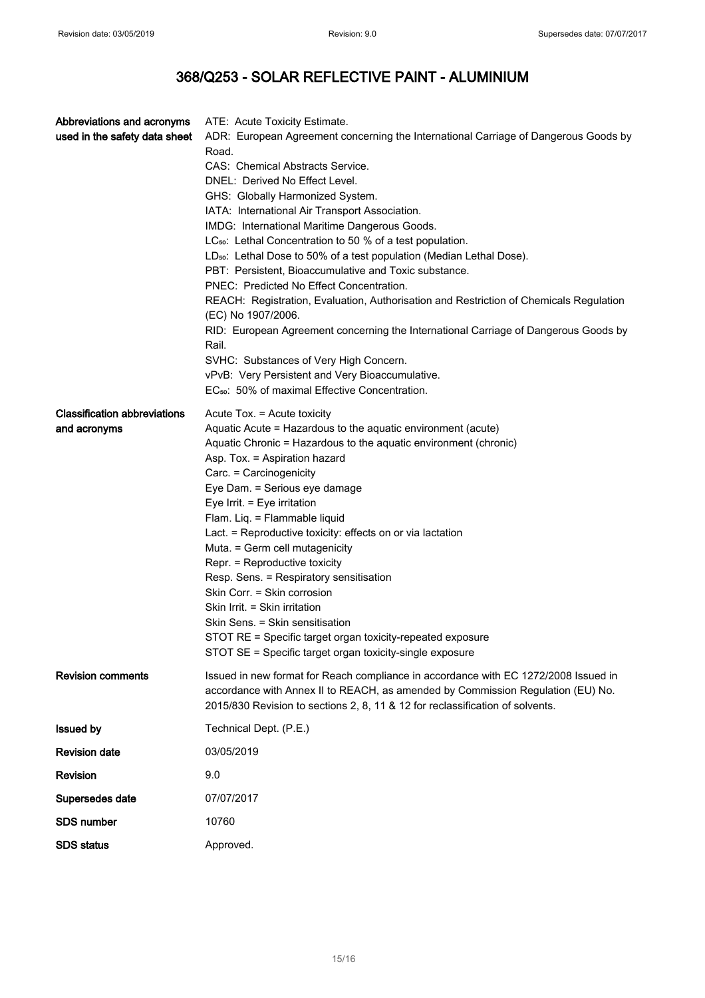| Abbreviations and acronyms<br>used in the safety data sheet | ATE: Acute Toxicity Estimate.<br>ADR: European Agreement concerning the International Carriage of Dangerous Goods by<br>Road.<br>CAS: Chemical Abstracts Service.<br>DNEL: Derived No Effect Level.<br>GHS: Globally Harmonized System.<br>IATA: International Air Transport Association.<br>IMDG: International Maritime Dangerous Goods.<br>LC <sub>50</sub> : Lethal Concentration to 50 % of a test population.<br>LD <sub>50</sub> : Lethal Dose to 50% of a test population (Median Lethal Dose).<br>PBT: Persistent, Bioaccumulative and Toxic substance.<br>PNEC: Predicted No Effect Concentration.<br>REACH: Registration, Evaluation, Authorisation and Restriction of Chemicals Regulation<br>(EC) No 1907/2006.<br>RID: European Agreement concerning the International Carriage of Dangerous Goods by<br>Rail. |
|-------------------------------------------------------------|------------------------------------------------------------------------------------------------------------------------------------------------------------------------------------------------------------------------------------------------------------------------------------------------------------------------------------------------------------------------------------------------------------------------------------------------------------------------------------------------------------------------------------------------------------------------------------------------------------------------------------------------------------------------------------------------------------------------------------------------------------------------------------------------------------------------------|
|                                                             | SVHC: Substances of Very High Concern.<br>vPvB: Very Persistent and Very Bioaccumulative.<br>EC <sub>50</sub> : 50% of maximal Effective Concentration.                                                                                                                                                                                                                                                                                                                                                                                                                                                                                                                                                                                                                                                                      |
| <b>Classification abbreviations</b><br>and acronyms         | Acute Tox. = Acute toxicity<br>Aquatic Acute = Hazardous to the aquatic environment (acute)<br>Aquatic Chronic = Hazardous to the aquatic environment (chronic)<br>Asp. Tox. = Aspiration hazard<br>Carc. = Carcinogenicity<br>Eye Dam. = Serious eye damage<br>Eye Irrit. = Eye irritation<br>Flam. Liq. = Flammable liquid<br>Lact. = Reproductive toxicity: effects on or via lactation<br>Muta. = Germ cell mutagenicity<br>Repr. = Reproductive toxicity<br>Resp. Sens. = Respiratory sensitisation<br>Skin Corr. = Skin corrosion<br>Skin Irrit. = Skin irritation<br>Skin Sens. = Skin sensitisation<br>STOT RE = Specific target organ toxicity-repeated exposure<br>STOT SE = Specific target organ toxicity-single exposure                                                                                        |
| <b>Revision comments</b>                                    | Issued in new format for Reach compliance in accordance with EC 1272/2008 Issued in<br>accordance with Annex II to REACH, as amended by Commission Regulation (EU) No.<br>2015/830 Revision to sections 2, 8, 11 & 12 for reclassification of solvents.                                                                                                                                                                                                                                                                                                                                                                                                                                                                                                                                                                      |
| <b>Issued by</b>                                            | Technical Dept. (P.E.)                                                                                                                                                                                                                                                                                                                                                                                                                                                                                                                                                                                                                                                                                                                                                                                                       |
| <b>Revision date</b>                                        | 03/05/2019                                                                                                                                                                                                                                                                                                                                                                                                                                                                                                                                                                                                                                                                                                                                                                                                                   |
| <b>Revision</b>                                             | 9.0                                                                                                                                                                                                                                                                                                                                                                                                                                                                                                                                                                                                                                                                                                                                                                                                                          |
| Supersedes date                                             | 07/07/2017                                                                                                                                                                                                                                                                                                                                                                                                                                                                                                                                                                                                                                                                                                                                                                                                                   |
| <b>SDS number</b>                                           | 10760                                                                                                                                                                                                                                                                                                                                                                                                                                                                                                                                                                                                                                                                                                                                                                                                                        |
| <b>SDS status</b>                                           | Approved.                                                                                                                                                                                                                                                                                                                                                                                                                                                                                                                                                                                                                                                                                                                                                                                                                    |